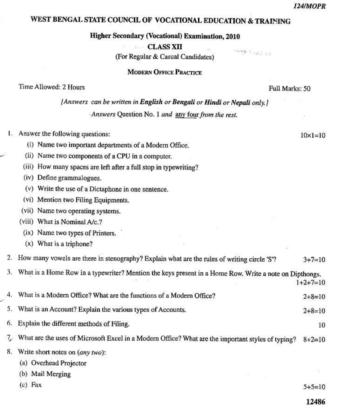$10 \times 1 = 10$ 

# WEST BENGAL STATE COUNCIL OF VOCATIONAL EDUCATION & TRAINING

**Higher Secondary (Vocational) Examination, 2010** 

**CLASS XII** 

(For Regular & Casual Candidates)

**MODERN OFFICE PRACTICE** 

Time Allowed: 2 Hours

Full Marks: 50

 $\label{eq:2.1} \begin{array}{ll} \mathcal{L}_{\mathcal{M}} & \mathcal{L}_{\mathcal{M}} & \mathcal{L}_{\mathcal{M}} \end{array}$ 

[Answers can be written in English or Bengali or Hindi or Nepali only.]

Answers Question No. 1 and any four from the rest.

| Ŧ. |  |  |  | Answer the following questions: |
|----|--|--|--|---------------------------------|
|----|--|--|--|---------------------------------|

(i) Name two important departments of a Modern Office,

- (ii) Name two components of a CPU in a computer.
- (iii) How many spaces are left after a full stop in typewriting?
- (iv) Define grammalogues.
- (v) Write the use of a Dictaphone in one sentence.
- (vi) Mention two Filing Equipments.
- (vii) Name two operating systems.
- (viii) What is Nominal A/c.?
- (ix) Name two types of Printers.
- (x) What is a triphone?

|  | 2. How many vowels are there in stenography? Explain what are the rules of writing circle 'S'? | $3 + 7 = 10$ |
|--|------------------------------------------------------------------------------------------------|--------------|
|--|------------------------------------------------------------------------------------------------|--------------|

3. What is a Home Row in a typewriter? Mention the keys present in a Home Row. Write a note on Dipthongs.  $1+2+7=10$ 

| 4. What is a Modern Office? What are the functions of a Modern Office?                                      | $2+8=10$ |
|-------------------------------------------------------------------------------------------------------------|----------|
| 5. What is an Account? Explain the various types of Accounts.                                               | $2+8=10$ |
| 6. Explain the different methods of Filing.                                                                 | 10       |
| 7. What are the uses of Microsoft Excel in a Modern Office? What are the important styles of typing? 8+2=10 |          |

- 8. Write short notes on (any two):
	- (a) Overhead Projector
	- (b) Mail Merging
	- $(c)$  Fax

 $5+5=10$ 

12486